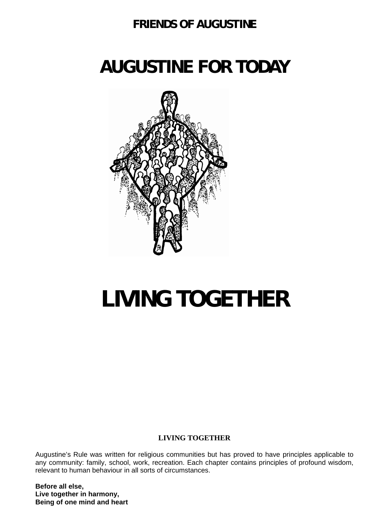### **FRIENDS OF AUGUSTINE**

## **AUGUSTINE FOR TODAY**



# **LIVING TOGETHER**

#### **LIVING TOGETHER**

Augustine's Rule was written for religious communities but has proved to have principles applicable to any community: family, school, work, recreation. Each chapter contains principles of profound wisdom, relevant to human behaviour in all sorts of circumstances.

**Before all else, Live together in harmony, Being of one mind and heart**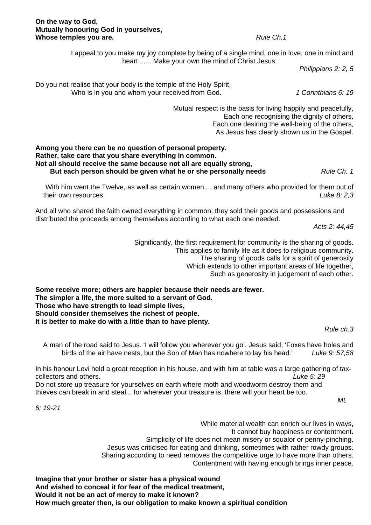#### **On the way to God, Mutually honouring God in yourselves, Whose temples you are.** *Rule Ch.1 Rule Ch.1*

I appeal to you make my joy complete by being of a single mind, one in love, one in mind and heart ...... Make your own the mind of Christ Jesus.

*Philippians 2: 2, 5* 

Do you not realise that your body is the temple of the Holy Spirit, Who is in you and whom your received from God. *1 Corinthians 6: 19* 

> Mutual respect is the basis for living happily and peacefully, Each one recognising the dignity of others, Each one desiring the well-being of the others, As Jesus has clearly shown us in the Gospel.

#### **Among you there can be no question of personal property. Rather, take care that you share everything in common. Not all should receive the same because not all are equally strong, But each person should be given what he or she personally needs** *Rule Ch. 1**Rule Ch. 1*

With him went the Twelve, as well as certain women ... and many others who provided for them out of their own resources. *Luke 8: 2,3* 

And all who shared the faith owned everything in common; they sold their goods and possessions and distributed the proceeds among themselves according to what each one needed.

*Acts 2: 44,45* 

Significantly, the first requirement for community is the sharing of goods. This applies to family life as it does to religious community. The sharing of goods calls for a spirit of generosity Which extends to other important areas of life together, Such as generosity in judgement of each other.

**Some receive more; others are happier because their needs are fewer. The simpler a life, the more suited to a servant of God. Those who have strength to lead simple lives, Should consider themselves the richest of people. It is better to make do with a little than to have plenty.** 

*Rule ch.3* 

A man of the road said to Jesus. 'I will follow you wherever you go'. Jesus said, 'Foxes have holes and birds of the air have nests, but the Son of Man has nowhere to lay his head.' *Luke 9: 57,58* 

In his honour Levi held a great reception in his house, and with him at table was a large gathering of taxcollectors and others. *Luke 5: 29* 

Do not store up treasure for yourselves on earth where moth and woodworm destroy them and thieves can break in and steal .. for wherever your treasure is, there will your heart be too.

*Mt.* 

*6; 19-21* 

While material wealth can enrich our lives in ways, It cannot buy happiness or contentment. Simplicity of life does not mean misery or squalor or penny-pinching. Jesus was criticised for eating and drinking, sometimes with rather rowdy groups. Sharing according to need removes the competitive urge to have more than others.

Contentment with having enough brings inner peace.

**Imagine that your brother or sister has a physical wound And wished to conceal it for fear of the medical treatment, Would it not be an act of mercy to make it known? How much greater then, is our obligation to make known a spiritual condition**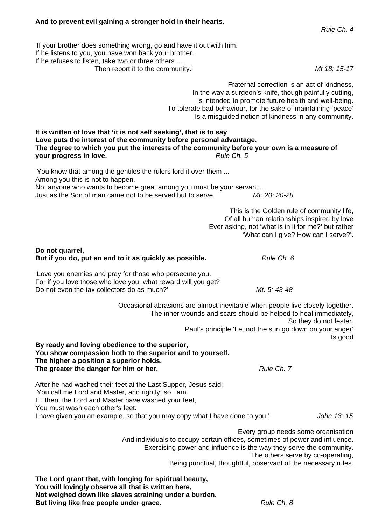#### **And to prevent evil gaining a stronger hold in their hearts.**

'If your brother does something wrong, go and have it out with him. If he listens to you, you have won back your brother. If he refuses to listen, take two or three others .... Then report it to the community.' *Mt 18: 15-17* 

> Fraternal correction is an act of kindness, In the way a surgeon's knife, though painfully cutting, Is intended to promote future health and well-being. To tolerate bad behaviour, for the sake of maintaining 'peace' Is a misguided notion of kindness in any community.

**It is written of love that 'it is not self seeking', that is to say Love puts the interest of the community before personal advantage. The degree to which you put the interests of the community before your own is a measure of your progress in love.** *Rule Ch. 5**Rule Ch. 5* 

'You know that among the gentiles the rulers lord it over them ... Among you this is not to happen. No; anyone who wants to become great among you must be your servant ... Just as the Son of man came not to be served but to serve. *Mt. 20: 20-28* 

> This is the Golden rule of community life, Of all human relationships inspired by love Ever asking, not 'what is in it for me?' but rather 'What can I give? How can I serve?'.

#### **Do not quarrel, But if you do, put an end to it as quickly as possible.** *Rule Ch. 6 Rule Ch. 6*

'Love you enemies and pray for those who persecute you. For if you love those who love you, what reward will you get? Do not even the tax collectors do as much?' *Mt. 5: 43-48* 

> Occasional abrasions are almost inevitable when people live closely together. The inner wounds and scars should be helped to heal immediately, So they do not fester. Paul's principle 'Let not the sun go down on your anger' Is good

#### **By ready and loving obedience to the superior, You show compassion both to the superior and to yourself. The higher a position a superior holds, The greater the danger for him or her.** *Rule Ch. 7**Rule Ch. 7**Rule Ch. 7*

After he had washed their feet at the Last Supper, Jesus said: 'You call me Lord and Master, and rightly; so I am. If I then, the Lord and Master have washed your feet, You must wash each other's feet. I have given you an example, so that you may copy what I have done to you.' *John 13: 15* 

> Every group needs some organisation And individuals to occupy certain offices, sometimes of power and influence. Exercising power and influence is the way they serve the community. The others serve by co-operating, Being punctual, thoughtful, observant of the necessary rules.

**The Lord grant that, with longing for spiritual beauty, You will lovingly observe all that is written here, Not weighed down like slaves straining under a burden, But living like free people under grace.** *Rule Ch. 8**Rule Ch. 8*